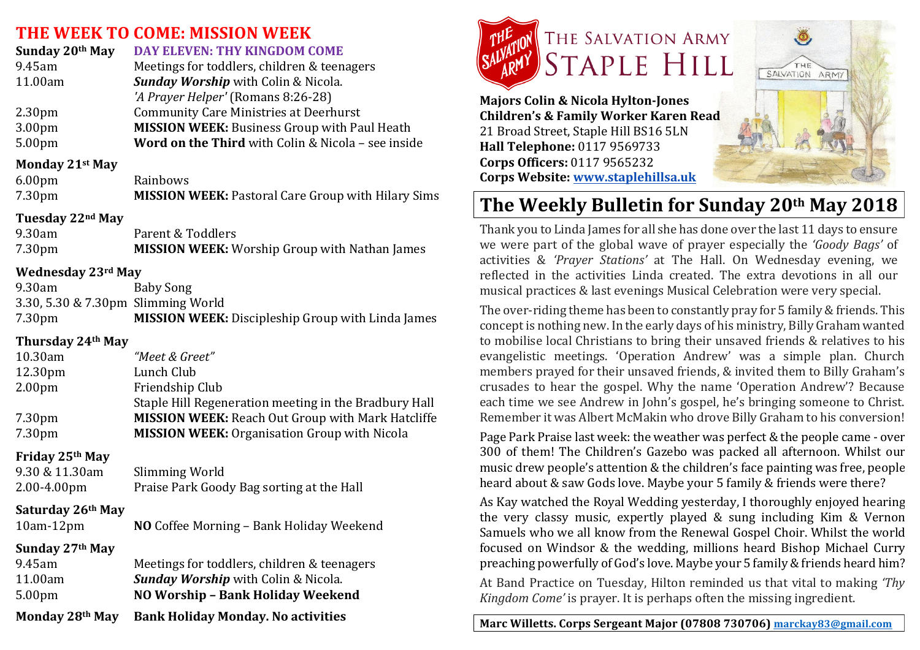## **THE WEEK TO COME: MISSION WEEK**

| Sunday 20th May    | DAY ELEVEN: THY KINGDOM COME                        |
|--------------------|-----------------------------------------------------|
| 9.45am             | Meetings for toddlers, children & teenagers         |
| 11.00am            | Sunday Worship with Colin & Nicola.                 |
|                    | 'A Prayer Helper' (Romans 8:26-28)                  |
| 2.30 <sub>pm</sub> | <b>Community Care Ministries at Deerhurst</b>       |
| 3.00pm             | <b>MISSION WEEK: Business Group with Paul Heath</b> |
| 5.00pm             | Word on the Third with Colin & Nicola - see inside  |
|                    |                                                     |

#### **Monday 21st May**

| 6.00 <sub>pm</sub> | Rainbows                                                  |
|--------------------|-----------------------------------------------------------|
| 7.30pm             | <b>MISSION WEEK: Pastoral Care Group with Hilary Sims</b> |

### **Tuesday 22nd May**

| 9.30am | Parent & Toddlers                                    |
|--------|------------------------------------------------------|
| 7.30pm | <b>MISSION WEEK:</b> Worship Group with Nathan James |

### **Wednesday 23rd May**

| 9.30am                             | Baby Song                                                |
|------------------------------------|----------------------------------------------------------|
| 3.30, 5.30 & 7.30pm Slimming World |                                                          |
| 7.30pm                             | <b>MISSION WEEK:</b> Discipleship Group with Linda James |

### **Thursday 24th May**

| 10.30am             | "Meet & Greet"                                           |
|---------------------|----------------------------------------------------------|
| 12.30 <sub>pm</sub> | Lunch Club                                               |
| 2.00 <sub>pm</sub>  | Friendship Club                                          |
|                     | Staple Hill Regeneration meeting in the Bradbury Hall    |
| 7.30pm              | <b>MISSION WEEK: Reach Out Group with Mark Hatcliffe</b> |
| 7.30pm              | <b>MISSION WEEK: Organisation Group with Nicola</b>      |
|                     |                                                          |

### **Friday 25th May**

| 9.30 & 11.30am   | Slimming World                            |
|------------------|-------------------------------------------|
| $2.00 - 4.00$ pm | Praise Park Goody Bag sorting at the Hall |

#### **Saturday 26th May**

| NO Coffee Morning - Bank Holiday Weekend<br>$10am-12pm$ |
|---------------------------------------------------------|
|---------------------------------------------------------|

### **Sunday 27th May**

| Monday 28th May    | <b>Rank Holiday Monday, No activities</b>   |
|--------------------|---------------------------------------------|
| 5.00 <sub>pm</sub> | NO Worship - Bank Holiday Weekend           |
| 11.00am            | <b>Sunday Worship</b> with Colin & Nicola.  |
| 9.45am             | Meetings for toddlers, children & teenagers |
|                    |                                             |

**Monday 28th May Bank Holiday Monday. No activities**



**Majors Colin & Nicola Hylton-Jones Children's & Family Worker Karen Read** 21 Broad Street, Staple Hill BS16 5LN **Hall Telephone:** 0117 9569733 **Corps Officers:** 0117 9565232 **Corps Website: www.staplehillsa.uk**

# The Weekly Bulletin for Sunday 20<sup>th</sup> May 2018

SALVATION ARMY

Thank you to Linda James for all she has done over the last 11 days to ensure we were part of the global wave of prayer especially the *'Goody Bags'* of activities & *'Prayer Stations'* at The Hall. On Wednesday evening, we reflected in the activities Linda created. The extra devotions in all our musical practices & last evenings Musical Celebration were very special.

The over-riding theme has been to constantly pray for 5 family & friends. This concept is nothing new. In the early days of his ministry, Billy Graham wanted to mobilise local Christians to bring their unsaved friends & relatives to his evangelistic meetings. 'Operation Andrew' was a simple plan. Church members prayed for their unsaved friends, & invited them to Billy Graham's crusades to hear the gospel. Why the name 'Operation Andrew'? Because each time we see Andrew in John's gospel, he's bringing someone to Christ. Remember it was Albert McMakin who drove Billy Graham to his conversion!

Page Park Praise last week: the weather was perfect & the people came - over 300 of them! The Children's Gazebo was packed all afternoon. Whilst our music drew people's attention & the children's face painting was free, people heard about & saw Gods love. Maybe your 5 family & friends were there?

As Kay watched the Royal Wedding yesterday, I thoroughly enjoyed hearing the very classy music, expertly played  $&$  sung including Kim  $&$  Vernon Samuels who we all know from the Renewal Gospel Choir. Whilst the world focused on Windsor & the wedding, millions heard Bishop Michael Curry preaching powerfully of God's love. Maybe your 5 family & friends heard him? At Band Practice on Tuesday, Hilton reminded us that vital to making *'Thy Kingdom Come'* is prayer. It is perhaps often the missing ingredient.

Marc Willetts. Corps Sergeant Major (07808 730706) marckay83@gmail.com